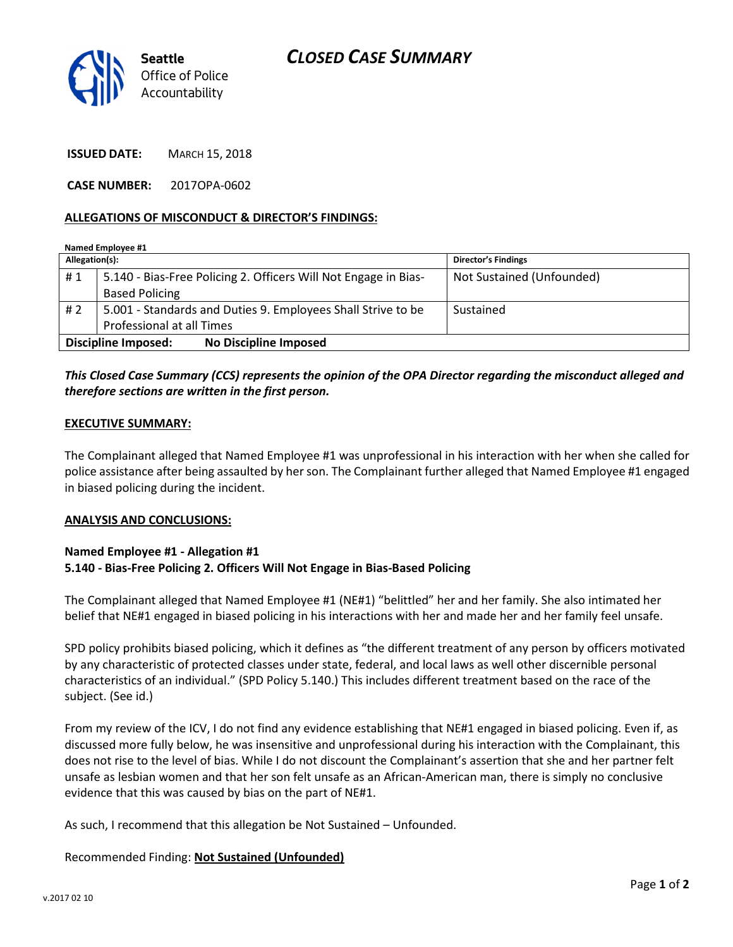

ISSUED DATE: MARCH 15, 2018

CASE NUMBER: 2017OPA-0602

### ALLEGATIONS OF MISCONDUCT & DIRECTOR'S FINDINGS:

| Named Employee #1                                   |                                                                 |                            |
|-----------------------------------------------------|-----------------------------------------------------------------|----------------------------|
| Allegation(s):                                      |                                                                 | <b>Director's Findings</b> |
| #1                                                  | 5.140 - Bias-Free Policing 2. Officers Will Not Engage in Bias- | Not Sustained (Unfounded)  |
|                                                     | <b>Based Policing</b>                                           |                            |
| #2                                                  | 5.001 - Standards and Duties 9. Employees Shall Strive to be    | Sustained                  |
|                                                     | Professional at all Times                                       |                            |
| <b>No Discipline Imposed</b><br>Discipline Imposed: |                                                                 |                            |

## This Closed Case Summary (CCS) represents the opinion of the OPA Director regarding the misconduct alleged and therefore sections are written in the first person.

### EXECUTIVE SUMMARY:

The Complainant alleged that Named Employee #1 was unprofessional in his interaction with her when she called for police assistance after being assaulted by her son. The Complainant further alleged that Named Employee #1 engaged in biased policing during the incident.

#### ANALYSIS AND CONCLUSIONS:

### Named Employee #1 - Allegation #1 5.140 - Bias-Free Policing 2. Officers Will Not Engage in Bias-Based Policing

The Complainant alleged that Named Employee #1 (NE#1) "belittled" her and her family. She also intimated her belief that NE#1 engaged in biased policing in his interactions with her and made her and her family feel unsafe.

SPD policy prohibits biased policing, which it defines as "the different treatment of any person by officers motivated by any characteristic of protected classes under state, federal, and local laws as well other discernible personal characteristics of an individual." (SPD Policy 5.140.) This includes different treatment based on the race of the subject. (See id.)

From my review of the ICV, I do not find any evidence establishing that NE#1 engaged in biased policing. Even if, as discussed more fully below, he was insensitive and unprofessional during his interaction with the Complainant, this does not rise to the level of bias. While I do not discount the Complainant's assertion that she and her partner felt unsafe as lesbian women and that her son felt unsafe as an African-American man, there is simply no conclusive evidence that this was caused by bias on the part of NE#1.

As such, I recommend that this allegation be Not Sustained – Unfounded.

### Recommended Finding: Not Sustained (Unfounded)